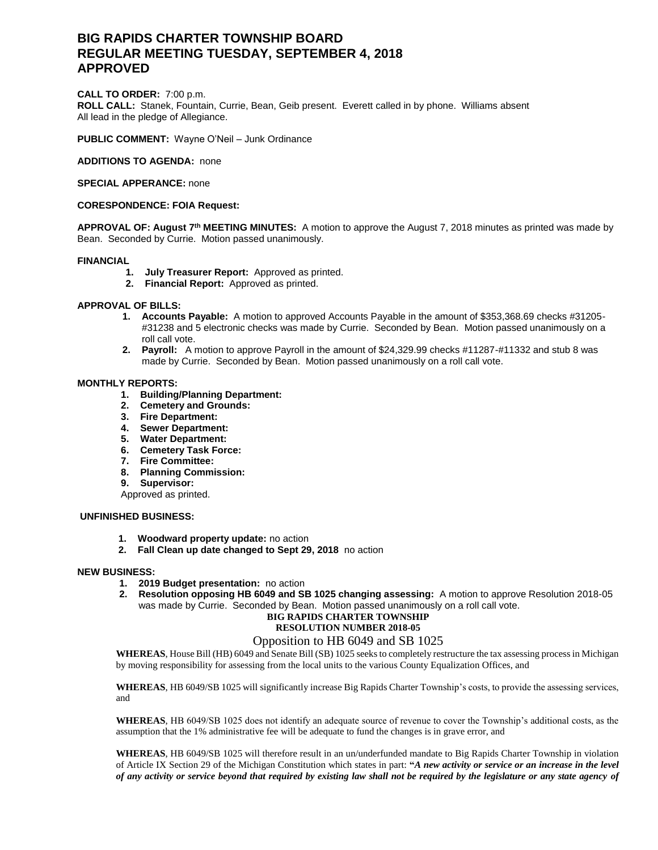# **BIG RAPIDS CHARTER TOWNSHIP BOARD REGULAR MEETING TUESDAY, SEPTEMBER 4, 2018 APPROVED**

### **CALL TO ORDER:** 7:00 p.m.

**ROLL CALL:** Stanek, Fountain, Currie, Bean, Geib present. Everett called in by phone. Williams absent All lead in the pledge of Allegiance.

**PUBLIC COMMENT:** Wayne O'Neil – Junk Ordinance

**ADDITIONS TO AGENDA:** none

**SPECIAL APPERANCE:** none

## **CORESPONDENCE: FOIA Request:**

**APPROVAL OF: August 7th MEETING MINUTES:** A motion to approve the August 7, 2018 minutes as printed was made by Bean. Seconded by Currie. Motion passed unanimously.

### **FINANCIAL**

- **1. July Treasurer Report:** Approved as printed.
- **2. Financial Report:** Approved as printed.

## **APPROVAL OF BILLS:**

- **1. Accounts Payable:** A motion to approved Accounts Payable in the amount of \$353,368.69 checks #31205- #31238 and 5 electronic checks was made by Currie. Seconded by Bean. Motion passed unanimously on a roll call vote.
- **2. Payroll:** A motion to approve Payroll in the amount of \$24,329.99 checks #11287-#11332 and stub 8 was made by Currie. Seconded by Bean. Motion passed unanimously on a roll call vote.

### **MONTHLY REPORTS:**

- **1. Building/Planning Department:**
- **2. Cemetery and Grounds:**
- **3. Fire Department:**
- **4. Sewer Department:**
- **5. Water Department:**
- **6. Cemetery Task Force:**
- **7. Fire Committee:**
- **8. Planning Commission:**
- **9. Supervisor:**
- Approved as printed.

## **UNFINISHED BUSINESS:**

- **1. Woodward property update:** no action
- **2. Fall Clean up date changed to Sept 29, 2018** no action

#### **NEW BUSINESS:**

- **1. 2019 Budget presentation:** no action
- **2. Resolution opposing HB 6049 and SB 1025 changing assessing:** A motion to approve Resolution 2018-05 was made by Currie. Seconded by Bean. Motion passed unanimously on a roll call vote.

# **BIG RAPIDS CHARTER TOWNSHIP**

# **RESOLUTION NUMBER 2018-05**

## Opposition to HB 6049 and SB 1025

**WHEREAS**, House Bill (HB) 6049 and Senate Bill (SB) 1025 seeks to completely restructure the tax assessing process in Michigan by moving responsibility for assessing from the local units to the various County Equalization Offices, and

**WHEREAS**, HB 6049/SB 1025 will significantly increase Big Rapids Charter Township's costs, to provide the assessing services, and

**WHEREAS**, HB 6049/SB 1025 does not identify an adequate source of revenue to cover the Township's additional costs, as the assumption that the 1% administrative fee will be adequate to fund the changes is in grave error, and

**WHEREAS**, HB 6049/SB 1025 will therefore result in an un/underfunded mandate to Big Rapids Charter Township in violation of Article IX Section 29 of the Michigan Constitution which states in part: **"***A new activity or service or an increase in the level of any activity or service beyond that required by existing law shall not be required by the legislature or any state agency of*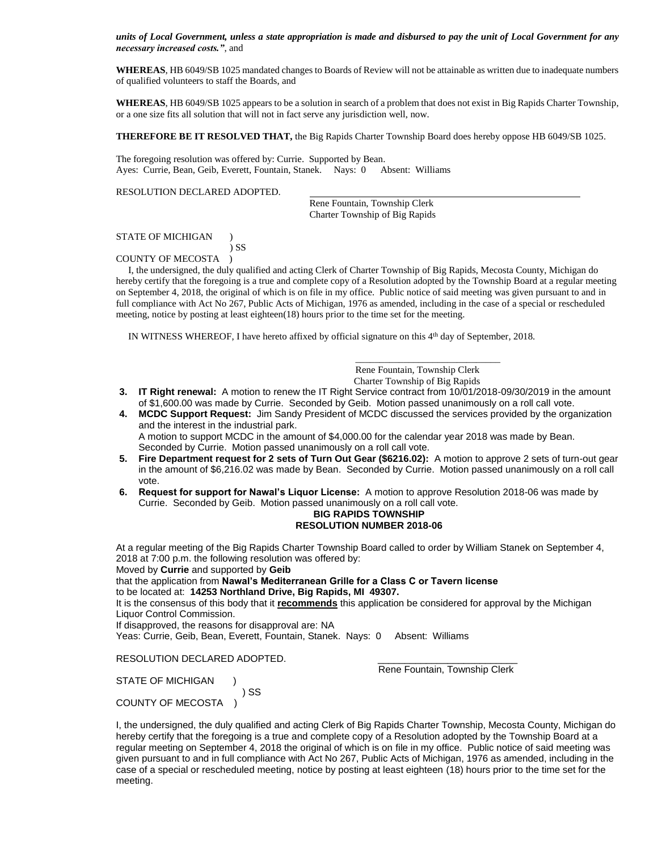*units of Local Government, unless a state appropriation is made and disbursed to pay the unit of Local Government for any necessary increased costs."*, and

**WHEREAS**, HB 6049/SB 1025 mandated changes to Boards of Review will not be attainable as written due to inadequate numbers of qualified volunteers to staff the Boards, and

**WHEREAS**, HB 6049/SB 1025 appears to be a solution in search of a problem that does not exist in Big Rapids Charter Township, or a one size fits all solution that will not in fact serve any jurisdiction well, now.

**THEREFORE BE IT RESOLVED THAT,** the Big Rapids Charter Township Board does hereby oppose HB 6049/SB 1025.

The foregoing resolution was offered by: Currie. Supported by Bean. Ayes: Currie, Bean, Geib, Everett, Fountain, Stanek. Nays: 0 Absent: Williams

#### RESOLUTION DECLARED ADOPTED.

 Rene Fountain, Township Clerk Charter Township of Big Rapids

#### STATE OF MICHIGAN )

 ) SS COUNTY OF MECOSTA )

 I, the undersigned, the duly qualified and acting Clerk of Charter Township of Big Rapids, Mecosta County, Michigan do hereby certify that the foregoing is a true and complete copy of a Resolution adopted by the Township Board at a regular meeting on September 4, 2018, the original of which is on file in my office. Public notice of said meeting was given pursuant to and in full compliance with Act No 267, Public Acts of Michigan, 1976 as amended, including in the case of a special or rescheduled meeting, notice by posting at least eighteen(18) hours prior to the time set for the meeting.

IN WITNESS WHEREOF, I have hereto affixed by official signature on this 4th day of September, 2018.

 $\overline{\phantom{a}}$  , and the contract of the contract of the contract of the contract of the contract of the contract of the contract of the contract of the contract of the contract of the contract of the contract of the contrac

Rene Fountain, Township Clerk

Charter Township of Big Rapids

- **3. IT Right renewal:** A motion to renew the IT Right Service contract from 10/01/2018-09/30/2019 in the amount of \$1,600.00 was made by Currie. Seconded by Geib. Motion passed unanimously on a roll call vote.
- **4. MCDC Support Request:** Jim Sandy President of MCDC discussed the services provided by the organization and the interest in the industrial park. A motion to support MCDC in the amount of \$4,000.00 for the calendar year 2018 was made by Bean. Seconded by Currie. Motion passed unanimously on a roll call vote.
- **5. Fire Department request for 2 sets of Turn Out Gear (\$6216.02):** A motion to approve 2 sets of turn-out gear in the amount of \$6,216.02 was made by Bean. Seconded by Currie. Motion passed unanimously on a roll call vote.
- **6. Request for support for Nawal's Liquor License:** A motion to approve Resolution 2018-06 was made by Currie. Seconded by Geib. Motion passed unanimously on a roll call vote.

# **BIG RAPIDS TOWNSHIP RESOLUTION NUMBER 2018-06**

At a regular meeting of the Big Rapids Charter Township Board called to order by William Stanek on September 4, 2018 at 7:00 p.m. the following resolution was offered by:

Moved by **Currie** and supported by **Geib**

that the application from **Nawal's Mediterranean Grille for a Class C or Tavern license**  to be located at: **14253 Northland Drive, Big Rapids, MI 49307.**

It is the consensus of this body that it **recommends** this application be considered for approval by the Michigan Liquor Control Commission.

If disapproved, the reasons for disapproval are: NA

) SS

Yeas: Currie, Geib, Bean, Everett, Fountain, Stanek. Nays: 0 Absent: Williams

RESOLUTION DECLARED ADOPTED.

Rene Fountain, Township Clerk

STATE OF MICHIGAN

COUNTY OF MECOSTA )

I, the undersigned, the duly qualified and acting Clerk of Big Rapids Charter Township, Mecosta County, Michigan do hereby certify that the foregoing is a true and complete copy of a Resolution adopted by the Township Board at a regular meeting on September 4, 2018 the original of which is on file in my office. Public notice of said meeting was given pursuant to and in full compliance with Act No 267, Public Acts of Michigan, 1976 as amended, including in the case of a special or rescheduled meeting, notice by posting at least eighteen (18) hours prior to the time set for the meeting.